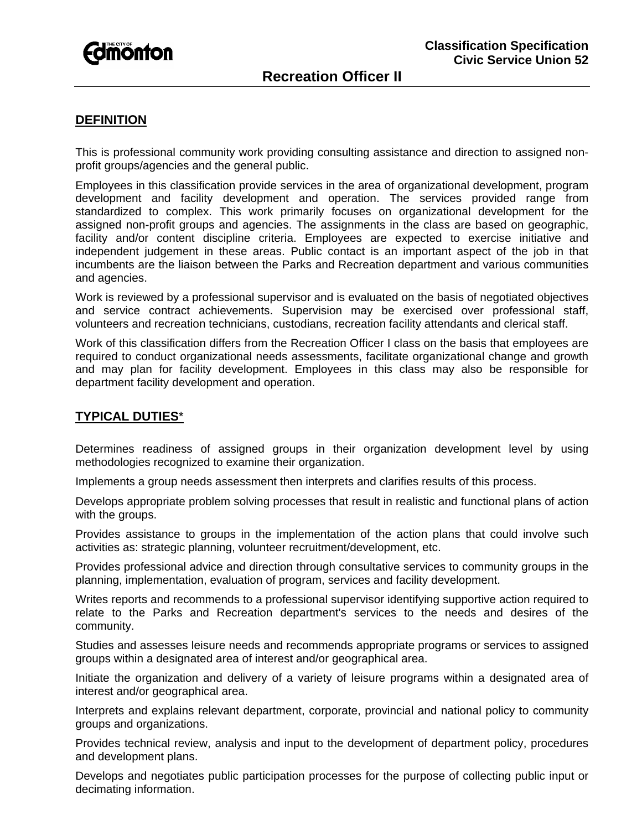

## **DEFINITION**

This is professional community work providing consulting assistance and direction to assigned nonprofit groups/agencies and the general public.

Employees in this classification provide services in the area of organizational development, program development and facility development and operation. The services provided range from standardized to complex. This work primarily focuses on organizational development for the assigned non-profit groups and agencies. The assignments in the class are based on geographic, facility and/or content discipline criteria. Employees are expected to exercise initiative and independent judgement in these areas. Public contact is an important aspect of the job in that incumbents are the liaison between the Parks and Recreation department and various communities and agencies.

Work is reviewed by a professional supervisor and is evaluated on the basis of negotiated objectives and service contract achievements. Supervision may be exercised over professional staff, volunteers and recreation technicians, custodians, recreation facility attendants and clerical staff.

Work of this classification differs from the Recreation Officer I class on the basis that employees are required to conduct organizational needs assessments, facilitate organizational change and growth and may plan for facility development. Employees in this class may also be responsible for department facility development and operation.

### **TYPICAL DUTIES**\*

Determines readiness of assigned groups in their organization development level by using methodologies recognized to examine their organization.

Implements a group needs assessment then interprets and clarifies results of this process.

Develops appropriate problem solving processes that result in realistic and functional plans of action with the groups.

Provides assistance to groups in the implementation of the action plans that could involve such activities as: strategic planning, volunteer recruitment/development, etc.

Provides professional advice and direction through consultative services to community groups in the planning, implementation, evaluation of program, services and facility development.

Writes reports and recommends to a professional supervisor identifying supportive action required to relate to the Parks and Recreation department's services to the needs and desires of the community.

Studies and assesses leisure needs and recommends appropriate programs or services to assigned groups within a designated area of interest and/or geographical area.

Initiate the organization and delivery of a variety of leisure programs within a designated area of interest and/or geographical area.

Interprets and explains relevant department, corporate, provincial and national policy to community groups and organizations.

Provides technical review, analysis and input to the development of department policy, procedures and development plans.

Develops and negotiates public participation processes for the purpose of collecting public input or decimating information.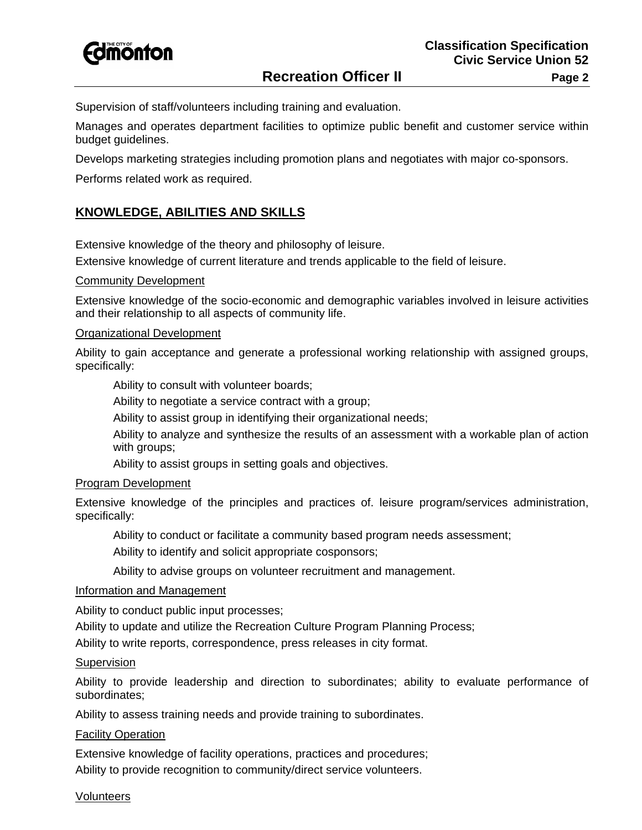

**Recreation Officer II** Page 2

Supervision of staff/volunteers including training and evaluation.

Manages and operates department facilities to optimize public benefit and customer service within budget guidelines.

Develops marketing strategies including promotion plans and negotiates with major co-sponsors.

Performs related work as required.

## **KNOWLEDGE, ABILITIES AND SKILLS**

Extensive knowledge of the theory and philosophy of leisure.

Extensive knowledge of current literature and trends applicable to the field of leisure.

#### Community Development

Extensive knowledge of the socio-economic and demographic variables involved in leisure activities and their relationship to all aspects of community life.

#### Organizational Development

Ability to gain acceptance and generate a professional working relationship with assigned groups, specifically:

Ability to consult with volunteer boards;

Ability to negotiate a service contract with a group;

Ability to assist group in identifying their organizational needs;

Ability to analyze and synthesize the results of an assessment with a workable plan of action with groups;

Ability to assist groups in setting goals and objectives.

#### Program Development

Extensive knowledge of the principles and practices of. leisure program/services administration, specifically:

Ability to conduct or facilitate a community based program needs assessment;

Ability to identify and solicit appropriate cosponsors;

Ability to advise groups on volunteer recruitment and management.

#### Information and Management

Ability to conduct public input processes;

Ability to update and utilize the Recreation Culture Program Planning Process;

Ability to write reports, correspondence, press releases in city format.

#### **Supervision**

Ability to provide leadership and direction to subordinates; ability to evaluate performance of subordinates;

Ability to assess training needs and provide training to subordinates.

#### Facility Operation

Extensive knowledge of facility operations, practices and procedures;

Ability to provide recognition to community/direct service volunteers.

#### Volunteers